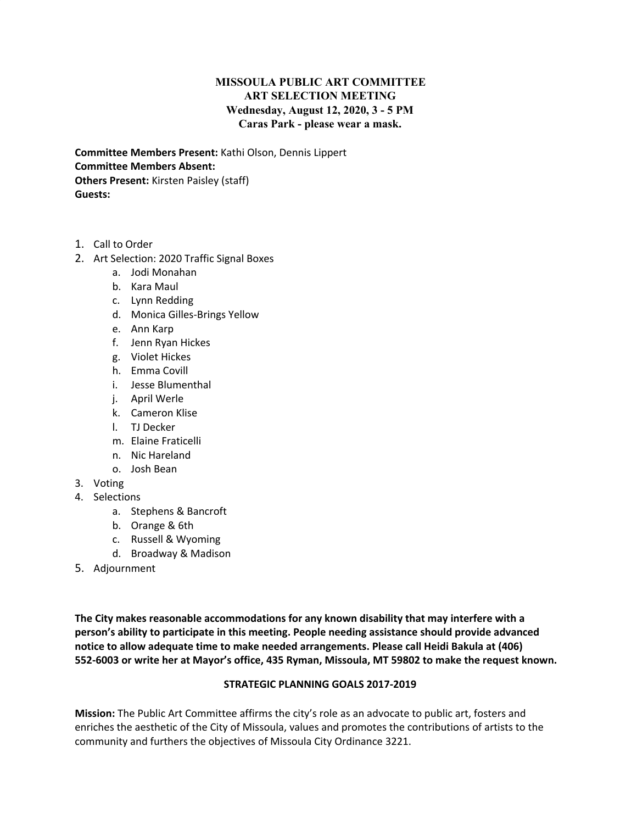## **MISSOULA PUBLIC ART COMMITTEE ART SELECTION MEETING Wednesday, August 12, 2020, 3 - 5 PM Caras Park - please wear a mask.**

**Committee Members Present:** Kathi Olson, Dennis Lippert **Committee Members Absent: Others Present:** Kirsten Paisley (staff) **Guests:**

- 1. Call to Order
- 2. Art Selection: 2020 Traffic Signal Boxes
	- a. Jodi Monahan
	- b. Kara Maul
	- c. Lynn Redding
	- d. Monica Gilles-Brings Yellow
	- e. Ann Karp
	- f. Jenn Ryan Hickes
	- g. Violet Hickes
	- h. Emma Covill
	- i. Jesse Blumenthal
	- j. April Werle
	- k. Cameron Klise
	- l. TJ Decker
	- m. Elaine Fraticelli
	- n. Nic Hareland
	- o. Josh Bean
- 3. Voting
- 4. Selections
	- a. Stephens & Bancroft
	- b. Orange & 6th
	- c. Russell & Wyoming
	- d. Broadway & Madison
- 5. Adjournment

**The City makes reasonable accommodations for any known disability that may interfere with a person's ability to participate in this meeting. People needing assistance should provide advanced notice to allow adequate time to make needed arrangements. Please call Heidi Bakula at (406) 552-6003 or write her at Mayor's office, 435 Ryman, Missoula, MT 59802 to make the request known.**

## **STRATEGIC PLANNING GOALS 2017-2019**

**Mission:** The Public Art Committee affirms the city's role as an advocate to public art, fosters and enriches the aesthetic of the City of Missoula, values and promotes the contributions of artists to the community and furthers the objectives of Missoula City Ordinance 3221.